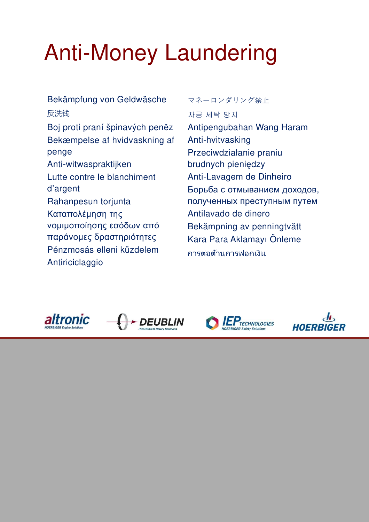# Anti-Money Laundering

# Bekämpfung von Geldwäsche 反洗钱

Boj proti praní špinavých peněz Bekæmpelse af hvidvaskning af penge Anti-witwaspraktijken Lutte contre le blanchiment d'argent Rahanpesun torjunta Καταπολέμηση της νομιμοποίησης εσόδων από παράνομες δραστηριότητες Pénzmosás elleni küzdelem Antiriciclaggio

# マネーロンダリング禁止 자금 세탁 방지 Antipengubahan Wang Haram Anti-hvitvasking Przeciwdziałanie praniu brudnych pieniędzy Anti-Lavagem de Dinheiro Борьба с отмыванием доходов, полученных преступным путем Antilavado de dinero Bekämpning av penningtvätt Kara Para Aklamayı Önleme การต่อต้านการฟอกเงิน



*DEUBLIN* 



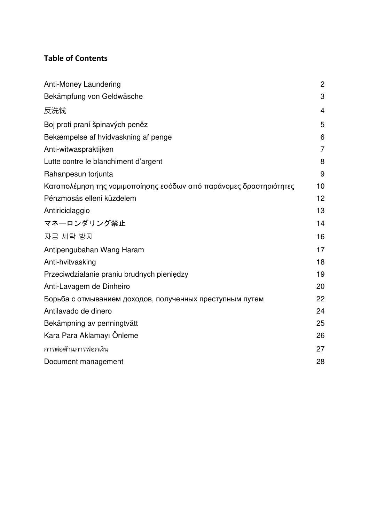### **Table of Contents**

| Anti-Money Laundering                                              | $\overline{c}$ |
|--------------------------------------------------------------------|----------------|
| Bekämpfung von Geldwäsche                                          | 3              |
| 反洗钱                                                                | 4              |
| Boj proti praní špinavých peněz                                    | 5              |
| Bekæmpelse af hvidvaskning af penge                                | 6              |
| Anti-witwaspraktijken                                              | $\overline{7}$ |
| Lutte contre le blanchiment d'argent                               | 8              |
| Rahanpesun torjunta                                                | 9              |
| Καταπολέμηση της νομιμοποίησης εσόδων από παράνομες δραστηριότητες | 10             |
| Pénzmosás elleni küzdelem                                          | 12             |
| Antiriciclaggio                                                    | 13             |
| マネーロンダリング禁止                                                        | 14             |
| 자금 세탁 방지                                                           | 16             |
| Antipengubahan Wang Haram                                          | 17             |
| Anti-hvitvasking                                                   | 18             |
| Przeciwdziałanie praniu brudnych pieniędzy                         | 19             |
| Anti-Lavagem de Dinheiro                                           | 20             |
| Борьба с отмыванием доходов, полученных преступным путем           | 22             |
| Antilavado de dinero                                               | 24             |
| Bekämpning av penningtvätt                                         | 25             |
| Kara Para Aklamayı Önleme                                          | 26             |
| การต่อต้านการฟอกเงิน                                               | 27             |
| Document management                                                | 28             |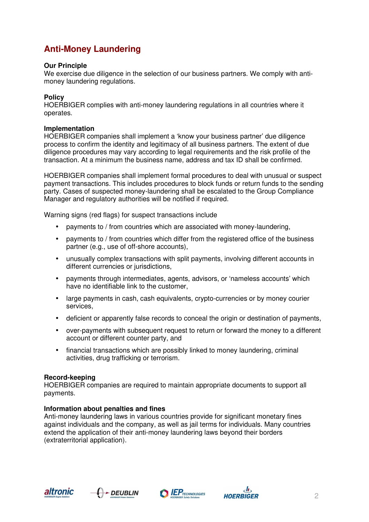# **Anti-Money Laundering**

#### **Our Principle**

We exercise due diligence in the selection of our business partners. We comply with antimoney laundering regulations.

#### **Policy**

HOERBIGER complies with anti-money laundering regulations in all countries where it operates.

#### **Implementation**

HOERBIGER companies shall implement a 'know your business partner' due diligence process to confirm the identity and legitimacy of all business partners. The extent of due diligence procedures may vary according to legal requirements and the risk profile of the transaction. At a minimum the business name, address and tax ID shall be confirmed.

HOERBIGER companies shall implement formal procedures to deal with unusual or suspect payment transactions. This includes procedures to block funds or return funds to the sending party. Cases of suspected money-laundering shall be escalated to the Group Compliance Manager and regulatory authorities will be notified if required.

Warning signs (red flags) for suspect transactions include

- payments to / from countries which are associated with money-laundering,
- payments to / from countries which differ from the registered office of the business partner (e.g., use of off-shore accounts),
- unusually complex transactions with split payments, involving different accounts in different currencies or jurisdictions,
- payments through intermediates, agents, advisors, or 'nameless accounts' which have no identifiable link to the customer,
- large payments in cash, cash equivalents, crypto-currencies or by money courier services,
- deficient or apparently false records to conceal the origin or destination of payments,
- over-payments with subsequent request to return or forward the money to a different account or different counter party, and
- financial transactions which are possibly linked to money laundering, criminal activities, drug trafficking or terrorism.

#### **Record-keeping**

HOERBIGER companies are required to maintain appropriate documents to support all payments.

#### **Information about penalties and fines**

Anti-money laundering laws in various countries provide for significant monetary fines against individuals and the company, as well as jail terms for individuals. Many countries extend the application of their anti-money laundering laws beyond their borders (extraterritorial application).







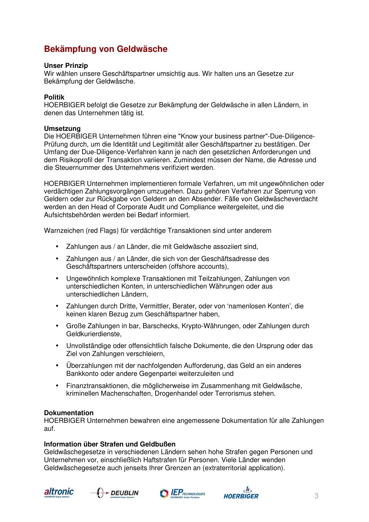# **Bekämpfung von Geldwäsche**

#### **Unser Prinzip**

Wir wählen unsere Geschäftspartner umsichtig aus. Wir halten uns an Gesetze zur Bekämpfung der Geldwäsche.

#### **Politik**

HOERBIGER befolgt die Gesetze zur Bekämpfung der Geldwäsche in allen Ländern, in denen das Unternehmen tätig ist.

#### **Umsetzung**

Die HOERBIGER Unternehmen führen eine "Know your business partner"-Due-Diligence-Prüfung durch, um die Identität und Legitimität aller Geschäftspartner zu bestätigen. Der Umfang der Due-Diligence-Verfahren kann je nach den gesetzlichen Anforderungen und dem Risikoprofil der Transaktion variieren. Zumindest müssen der Name, die Adresse und die Steuernummer des Unternehmens verifiziert werden.

HOERBIGER Unternehmen implementieren formale Verfahren, um mit ungewöhnlichen oder verdächtigen Zahlungsvorgängen umzugehen. Dazu gehören Verfahren zur Sperrung von Geldern oder zur Rückgabe von Geldern an den Absender. Fälle von Geldwäscheverdacht werden an den Head of Corporate Audit und Compliance weitergeleitet, und die Aufsichtsbehörden werden bei Bedarf informiert.

Warnzeichen (red Flags) für verdächtige Transaktionen sind unter anderem

- Zahlungen aus / an Länder, die mit Geldwäsche assoziiert sind,
- Zahlungen aus / an Länder, die sich von der Geschäftsadresse des Geschäftspartners unterscheiden (offshore accounts),
- Ungewöhnlich komplexe Transaktionen mit Teilzahlungen, Zahlungen von unterschiedlichen Konten, in unterschiedlichen Währungen oder aus unterschiedlichen Ländern,
- Zahlungen durch Dritte, Vermittler, Berater, oder von 'namenlosen Konten', die keinen klaren Bezug zum Geschäftspartner haben,
- Große Zahlungen in bar, Barschecks, Krypto-Währungen, oder Zahlungen durch Geldkurierdienste,
- Unvollständige oder offensichtlich falsche Dokumente, die den Ursprung oder das Ziel von Zahlungen verschleiern,
- Überzahlungen mit der nachfolgenden Aufforderung, das Geld an ein anderes Bankkonto oder andere Gegenpartei weiterzuleiten und
- Finanztransaktionen, die möglicherweise im Zusammenhang mit Geldwäsche, kriminellen Machenschaften, Drogenhandel oder Terrorismus stehen.

#### **Dokumentation**

HOERBIGER Unternehmen bewahren eine angemessene Dokumentation für alle Zahlungen auf.

#### **Information über Strafen und Geldbußen**

Geldwäschegesetze in verschiedenen Ländern sehen hohe Strafen gegen Personen und Unternehmen vor, einschließlich Haftstrafen für Personen. Viele Länder wenden Geldwäschegesetze auch jenseits Ihrer Grenzen an (extraterritorial application).







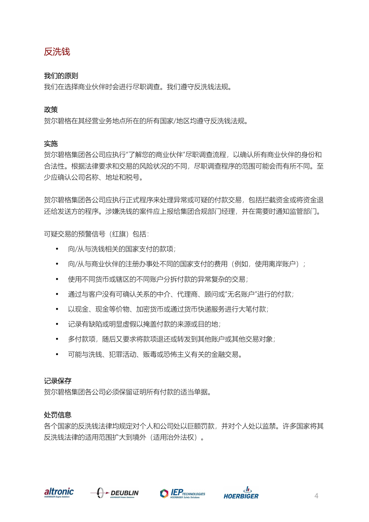

#### 我们的原则

我们在选择商业伙伴时会进行尽职调查。我们遵守反洗钱法规。

#### 政策

贺尔碧格在其经营业务地点所在的所有国家/地区均遵守反洗钱法规。

#### 实施

贺尔碧格集团各公司应执行"了解您的商业伙伴"尽职调查流程,以确认所有商业伙伴的身份和 合法性。根据法律要求和交易的风险状况的不同,尽职调查程序的范围可能会而有所不同。至 少应确认公司名称、地址和税号。

贺尔碧格集团各公司应执行正式程序来处理异常或可疑的付款交易,包括拦截资金或将资金退 还给发送方的程序。涉嫌洗钱的案件应上报给集团合规部门经理,并在需要时通知监管部门。

可疑交易的预警信号(红旗)包括:

- 向/从与洗钱相关的国家支付的款项;
- 向/从与商业伙伴的注册办事处不同的国家支付的费用(例如,使用离岸账户);
- 使用不同货币或辖区的不同账户分拆付款的异常复杂的交易;
- 通过与客户没有可确认关系的中介、代理商、顾问或"无名账户"进行的付款;
- 以现金、现金等价物、加密货币或通过货币快递服务进行大笔付款;
- 记录有缺陷或明显虚假以掩盖付款的来源或目的地;
- 多付款项,随后又要求将款项退还或转发到其他账户或其他交易对象;
- 可能与洗钱、犯罪活动、贩毒或恐怖主义有关的金融交易。

#### 记录保存

贺尔碧格集团各公司必须保留证明所有付款的适当单据。

#### 处罚信息

各个国家的反洗钱法律均规定对个人和公司处以巨额罚款,并对个人处以监禁。许多国家将其 反洗钱法律的适用范围扩大到境外(适用治外法权)。







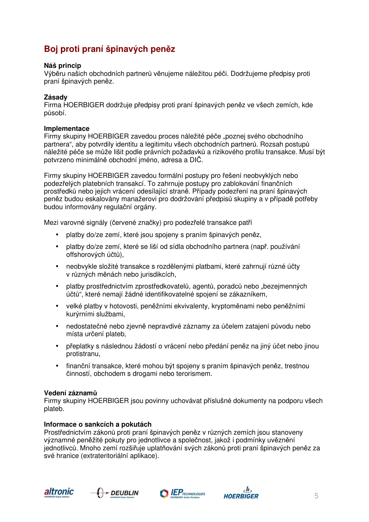# **Boj proti praní špinavých peněz**

#### **Náš princip**

Výběru našich obchodních partnerů věnujeme náležitou péči. Dodržujeme předpisy proti praní špinavých peněz.

#### **Zásady**

Firma HOERBIGER dodržuje předpisy proti praní špinavých peněz ve všech zemích, kde působí.

#### **Implementace**

Firmy skupiny HOERBIGER zavedou proces náležité péče "poznej svého obchodního partnera", aby potvrdily identitu a legitimitu všech obchodních partnerů. Rozsah postupů náležité péče se může lišit podle právních požadavků a rizikového profilu transakce. Musí být potvrzeno minimálně obchodní jméno, adresa a DIČ.

Firmy skupiny HOERBIGER zavedou formální postupy pro řešení neobvyklých nebo podezřelých platebních transakcí. To zahrnuje postupy pro zablokování finančních prostředků nebo jejich vrácení odesílající straně. Případy podezření na praní špinavých peněz budou eskalovány manažerovi pro dodržování předpisů skupiny a v případě potřeby budou informovány regulační orgány.

Mezi varovné signály (červené značky) pro podezřelé transakce patří

- platby do/ze zemí, které jsou spojeny s praním špinavých peněz,
- platby do/ze zemí, které se liší od sídla obchodního partnera (např. používání offshorových účtů),
- neobvykle složité transakce s rozdělenými platbami, které zahrnují různé účty v různých měnách nebo jurisdikcích,
- platby prostřednictvím zprostředkovatelů, agentů, poradců nebo "bezejmenných účtů", které nemají žádné identifikovatelné spojení se zákazníkem,
- velké platby v hotovosti, peněžními ekvivalenty, kryptoměnami nebo peněžními kurýrními službami,
- nedostatečné nebo zjevně nepravdivé záznamy za účelem zatajení původu nebo místa určení plateb,
- přeplatky s následnou žádostí o vrácení nebo předání peněz na jiný účet nebo jinou protistranu,
- finanční transakce, které mohou být spojeny s praním špinavých peněz, trestnou činností, obchodem s drogami nebo terorismem.

#### **Vedení záznamů**

Firmy skupiny HOERBIGER jsou povinny uchovávat příslušné dokumenty na podporu všech plateb.

#### **Informace o sankcích a pokutách**

Prostřednictvím zákonů proti praní špinavých peněz v různých zemích jsou stanoveny významné peněžité pokuty pro jednotlivce a společnost, jakož i podmínky uvěznění jednotlivců. Mnoho zemí rozšiřuje uplatňování svých zákonů proti praní špinavých peněz za své hranice (extrateritoriální aplikace).







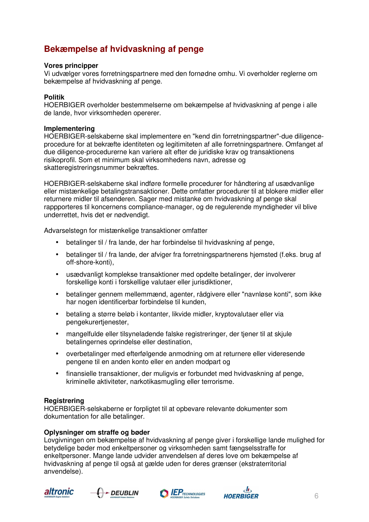# **Bekæmpelse af hvidvaskning af penge**

#### **Vores principper**

Vi udvælger vores forretningspartnere med den fornødne omhu. Vi overholder reglerne om bekæmpelse af hvidvaskning af penge.

#### **Politik**

HOERBIGER overholder bestemmelserne om bekæmpelse af hvidvaskning af penge i alle de lande, hvor virksomheden opererer.

#### **Implementering**

HOERBIGER-selskaberne skal implementere en "kend din forretningspartner"-due diligenceprocedure for at bekræfte identiteten og legitimiteten af alle forretningspartnere. Omfanget af due diligence-procedurerne kan variere alt efter de juridiske krav og transaktionens risikoprofil. Som et minimum skal virksomhedens navn, adresse og skatteregistreringsnummer bekræftes.

HOERBIGER-selskaberne skal indføre formelle procedurer for håndtering af usædvanlige eller mistænkelige betalingstransaktioner. Dette omfatter procedurer til at blokere midler eller returnere midler til afsenderen. Sager med mistanke om hvidvaskning af penge skal rappporteres til koncernens compliance-manager, og de regulerende myndigheder vil blive underrettet, hvis det er nødvendigt.

Advarselstegn for mistænkelige transaktioner omfatter

- betalinger til / fra lande, der har forbindelse til hvidvaskning af penge,
- betalinger til / fra lande, der afviger fra forretningspartnerens hjemsted (f.eks. brug af off-shore-konti),
- usædvanligt komplekse transaktioner med opdelte betalinger, der involverer forskellige konti i forskellige valutaer eller jurisdiktioner,
- betalinger gennem mellemmænd, agenter, rådgivere eller "navnløse konti", som ikke har nogen identificerbar forbindelse til kunden,
- betaling a større beløb i kontanter, likvide midler, kryptovalutaer eller via pengekurertjenester,
- mangelfulde eller tilsyneladende falske registreringer, der tjener til at skjule betalingernes oprindelse eller destination,
- overbetalinger med efterfølgende anmodning om at returnere eller videresende pengene til en anden konto eller en anden modpart og
- finansielle transaktioner, der muligvis er forbundet med hvidvaskning af penge, kriminelle aktiviteter, narkotikasmugling eller terrorisme.

#### **Registrering**

HOERBIGER-selskaberne er forpligtet til at opbevare relevante dokumenter som dokumentation for alle betalinger.

#### **Oplysninger om straffe og bøder**

Lovgivningen om bekæmpelse af hvidvaskning af penge giver i forskellige lande mulighed for betydelige bøder mod enkeltpersoner og virksomheden samt fængselsstraffe for enkeltpersoner. Mange lande udvider anvendelsen af deres love om bekæmpelse af hvidvaskning af penge til også at gælde uden for deres grænser (ekstraterritorial anvendelse).







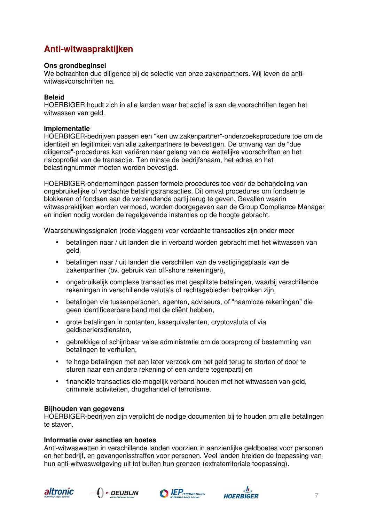# **Anti-witwaspraktijken**

#### **Ons grondbeginsel**

We betrachten due diligence bij de selectie van onze zakenpartners. Wij leven de antiwitwasvoorschriften na.

#### **Beleid**

HOERBIGER houdt zich in alle landen waar het actief is aan de voorschriften tegen het witwassen van geld.

#### **Implementatie**

HOERBIGER-bedrijven passen een "ken uw zakenpartner"-onderzoeksprocedure toe om de identiteit en legitimiteit van alle zakenpartners te bevestigen. De omvang van de "due diligence"-procedures kan variëren naar gelang van de wettelijke voorschriften en het risicoprofiel van de transactie. Ten minste de bedrijfsnaam, het adres en het belastingnummer moeten worden bevestigd.

HOERBIGER-ondernemingen passen formele procedures toe voor de behandeling van ongebruikelijke of verdachte betalingstransacties. Dit omvat procedures om fondsen te blokkeren of fondsen aan de verzendende partij terug te geven. Gevallen waarin witwaspraktijken worden vermoed, worden doorgegeven aan de Group Compliance Manager en indien nodig worden de regelgevende instanties op de hoogte gebracht.

Waarschuwingssignalen (rode vlaggen) voor verdachte transacties zijn onder meer

- betalingen naar / uit landen die in verband worden gebracht met het witwassen van geld,
- betalingen naar / uit landen die verschillen van de vestigingsplaats van de zakenpartner (bv. gebruik van off-shore rekeningen),
- ongebruikelijk complexe transacties met gesplitste betalingen, waarbij verschillende rekeningen in verschillende valuta's of rechtsgebieden betrokken zijn,
- betalingen via tussenpersonen, agenten, adviseurs, of "naamloze rekeningen" die geen identificeerbare band met de cliënt hebben,
- grote betalingen in contanten, kasequivalenten, cryptovaluta of via geldkoeriersdiensten,
- gebrekkige of schijnbaar valse administratie om de oorsprong of bestemming van betalingen te verhullen,
- te hoge betalingen met een later verzoek om het geld terug te storten of door te sturen naar een andere rekening of een andere tegenpartij en
- financiële transacties die mogelijk verband houden met het witwassen van geld, criminele activiteiten, drugshandel of terrorisme.

#### **Bijhouden van gegevens**

HOERBIGER-bedrijven zijn verplicht de nodige documenten bij te houden om alle betalingen te staven.

#### **Informatie over sancties en boetes**

Anti-witwaswetten in verschillende landen voorzien in aanzienlijke geldboetes voor personen en het bedrijf, en gevangenisstraffen voor personen. Veel landen breiden de toepassing van hun anti-witwaswetgeving uit tot buiten hun grenzen (extraterritoriale toepassing).







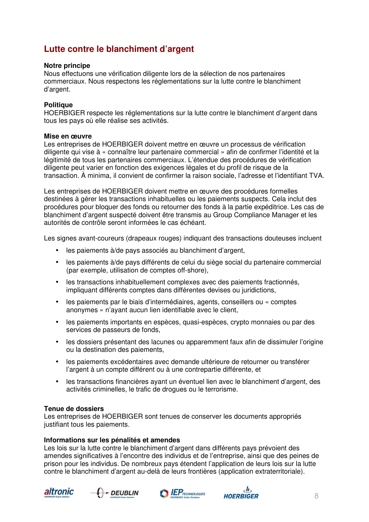# **Lutte contre le blanchiment d'argent**

#### **Notre principe**

Nous effectuons une vérification diligente lors de la sélection de nos partenaires commerciaux. Nous respectons les réglementations sur la lutte contre le blanchiment d'argent.

#### **Politique**

HOERBIGER respecte les réglementations sur la lutte contre le blanchiment d'argent dans tous les pays où elle réalise ses activités.

#### **Mise en œuvre**

Les entreprises de HOERBIGER doivent mettre en œuvre un processus de vérification diligente qui vise à « connaître leur partenaire commercial » afin de confirmer l'identité et la légitimité de tous les partenaires commerciaux. L'étendue des procédures de vérification diligente peut varier en fonction des exigences légales et du profil de risque de la transaction. À minima, il convient de confirmer la raison sociale, l'adresse et l'identifiant TVA.

Les entreprises de HOERBIGER doivent mettre en œuvre des procédures formelles destinées à gérer les transactions inhabituelles ou les paiements suspects. Cela inclut des procédures pour bloquer des fonds ou retourner des fonds à la partie expéditrice. Les cas de blanchiment d'argent suspecté doivent être transmis au Group Compliance Manager et les autorités de contrôle seront informées le cas échéant.

Les signes avant-coureurs (drapeaux rouges) indiquant des transactions douteuses incluent

- les paiements à/de pays associés au blanchiment d'argent,
- les paiements à/de pays différents de celui du siège social du partenaire commercial (par exemple, utilisation de comptes off-shore),
- les transactions inhabituellement complexes avec des paiements fractionnés, impliquant différents comptes dans différentes devises ou juridictions,
- les paiements par le biais d'intermédiaires, agents, conseillers ou « comptes anonymes » n'ayant aucun lien identifiable avec le client,
- les paiements importants en espèces, quasi-espèces, crypto monnaies ou par des services de passeurs de fonds,
- les dossiers présentant des lacunes ou apparemment faux afin de dissimuler l'origine ou la destination des paiements,
- les paiements excédentaires avec demande ultérieure de retourner ou transférer l'argent à un compte différent ou à une contrepartie différente, et
- les transactions financières ayant un éventuel lien avec le blanchiment d'argent, des activités criminelles, le trafic de drogues ou le terrorisme.

#### **Tenue de dossiers**

Les entreprises de HOERBIGER sont tenues de conserver les documents appropriés justifiant tous les paiements.

#### **Informations sur les pénalités et amendes**

Les lois sur la lutte contre le blanchiment d'argent dans différents pays prévoient des amendes significatives à l'encontre des individus et de l'entreprise, ainsi que des peines de prison pour les individus. De nombreux pays étendent l'application de leurs lois sur la lutte contre le blanchiment d'argent au-delà de leurs frontières (application extraterritoriale).







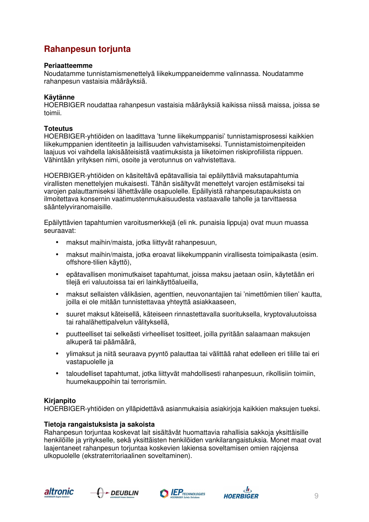# **Rahanpesun torjunta**

#### **Periaatteemme**

Noudatamme tunnistamismenettelyä liikekumppaneidemme valinnassa. Noudatamme rahanpesun vastaisia määräyksiä.

#### **Käytänne**

HOERBIGER noudattaa rahanpesun vastaisia määräyksiä kaikissa niissä maissa, joissa se toimii.

#### **Toteutus**

HOERBIGER-yhtiöiden on laadittava 'tunne liikekumppanisi' tunnistamisprosessi kaikkien liikekumppanien identiteetin ja laillisuuden vahvistamiseksi. Tunnistamistoimenpiteiden laajuus voi vaihdella lakisääteisistä vaatimuksista ja liiketoimen riskiprofiilista riippuen. Vähintään yrityksen nimi, osoite ja verotunnus on vahvistettava.

HOERBIGER-yhtiöiden on käsiteltävä epätavallisia tai epäilyttäviä maksutapahtumia virallisten menettelyjen mukaisesti. Tähän sisältyvät menettelyt varojen estämiseksi tai varojen palauttamiseksi lähettävälle osapuolelle. Epäillyistä rahanpesutapauksista on ilmoitettava konsernin vaatimustenmukaisuudesta vastaavalle taholle ja tarvittaessa sääntelyviranomaisille.

Epäilyttävien tapahtumien varoitusmerkkejä (eli nk. punaisia lippuja) ovat muun muassa seuraavat:

- maksut maihin/maista, jotka liittyvät rahanpesuun,
- maksut maihin/maista, jotka eroavat liikekumppanin virallisesta toimipaikasta (esim. offshore-tilien käyttö),
- epätavallisen monimutkaiset tapahtumat, joissa maksu jaetaan osiin, käytetään eri tilejä eri valuutoissa tai eri lainkäyttöalueilla,
- maksut sellaisten välikäsien, agenttien, neuvonantajien tai 'nimettömien tilien' kautta, joilla ei ole mitään tunnistettavaa yhteyttä asiakkaaseen,
- suuret maksut käteisellä, käteiseen rinnastettavalla suorituksella, kryptovaluutoissa tai rahalähettipalvelun välityksellä,
- puutteelliset tai selkeästi virheelliset tositteet, joilla pyritään salaamaan maksujen alkuperä tai päämäärä,
- ylimaksut ja niitä seuraava pyyntö palauttaa tai välittää rahat edelleen eri tilille tai eri vastapuolelle ja
- taloudelliset tapahtumat, jotka liittyvät mahdollisesti rahanpesuun, rikollisiin toimiin, huumekauppoihin tai terrorismiin.

#### **Kirjanpito**

HOERBIGER-yhtiöiden on ylläpidettävä asianmukaisia asiakirjoja kaikkien maksujen tueksi.

#### **Tietoja rangaistuksista ja sakoista**

Rahanpesun torjuntaa koskevat lait sisältävät huomattavia rahallisia sakkoja yksittäisille henkilöille ja yritykselle, sekä yksittäisten henkilöiden vankilarangaistuksia. Monet maat ovat laajentaneet rahanpesun torjuntaa koskevien lakiensa soveltamisen omien rajojensa ulkopuolelle (ekstraterritoriaalinen soveltaminen).







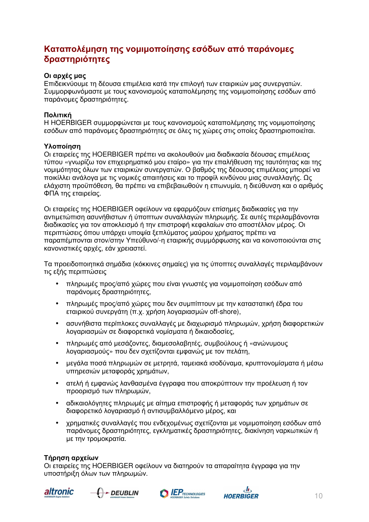### **Καταπολέμηση της νομιμοποίησης εσόδων από παράνομες δραστηριότητες**

#### **Οι αρχές μας**

Επιδεικνύουμε τη δέουσα επιμέλεια κατά την επιλογή των εταιρικών μας συνεργατών. Συμμορφωνόμαστε με τους κανονισμούς καταπολέμησης της νομιμοποίησης εσόδων από παράνομες δραστηριότητες.

#### **Πολιτική**

Η HOERBIGER συμμορφώνεται με τους κανονισμούς καταπολέμησης της νομιμοποίησης εσόδων από παράνομες δραστηριότητες σε όλες τις χώρες στις οποίες δραστηριοποιείται.

#### **Υλοποίηση**

Οι εταιρείες της HOERBIGER πρέπει να ακολουθούν μια διαδικασία δέουσας επιμέλειας τύπου «γνωρίζω τον επιχειρηματικό μου εταίρο» για την επαλήθευση της ταυτότητας και της νομιμότητας όλων των εταιρικών συνεργατών. Ο βαθμός της δέουσας επιμέλειας μπορεί να ποικίλλει ανάλογα με τις νομικές απαιτήσεις και το προφίλ κινδύνου μιας συναλλαγής. Ως ελάχιστη προϋπόθεση, θα πρέπει να επιβεβαιωθούν η επωνυμία, η διεύθυνση και ο αριθμός ΦΠΑ της εταιρείας.

Οι εταιρείες της HOERBIGER οφείλουν να εφαρμόζουν επίσημες διαδικασίες για την αντιμετώπιση ασυνήθιστων ή ύποπτων συναλλαγών πληρωμής. Σε αυτές περιλαμβάνονται διαδικασίες για τον αποκλεισμό ή την επιστροφή κεφαλαίων στο αποστέλλον μέρος. Οι περιπτώσεις όπου υπάρχει υποψία ξεπλύματος μαύρου χρήματος πρέπει να παραπέμπονται στον/στην Υπεύθυνο/-η εταιρικής συμμόρφωσης και να κοινοποιούνται στις κανονιστικές αρχές, εάν χρειαστεί.

Τα προειδοποιητικά σημάδια (κόκκινες σημαίες) για τις ύποπτες συναλλαγές περιλαμβάνουν τις εξής περιπτώσεις

- πληρωμές προς/από χώρες που είναι γνωστές για νομιμοποίηση εσόδων από παράνομες δραστηριότητες,
- πληρωμές προς/από χώρες που δεν συμπίπτουν με την καταστατική έδρα του εταιρικού συνεργάτη (π.χ. χρήση λογαριασμών off-shore),
- ασυνήθιστα περίπλοκες συναλλαγές με διαχωρισμό πληρωμών, χρήση διαφορετικών λογαριασμών σε διαφορετικά νομίσματα ή δικαιοδοσίες,
- πληρωμές από μεσάζοντες, διαμεσολαβητές, συμβούλους ή «ανώνυμους λογαριασμούς» που δεν σχετίζονται εμφανώς με τον πελάτη,
- μεγάλα ποσά πληρωμών σε μετρητά, ταμειακά ισοδύναμα, κρυπτονομίσματα ή μέσω υπηρεσιών μεταφοράς χρημάτων,
- ατελή ή εμφανώς λανθασμένα έγγραφα που αποκρύπτουν την προέλευση ή τον προορισμό των πληρωμών,
- αδικαιολόγητες πληρωμές με αίτημα επιστροφής ή μεταφοράς των χρημάτων σε διαφορετικό λογαριασμό ή αντισυμβαλλόμενο μέρος, και
- χρηματικές συναλλαγές που ενδεχομένως σχετίζονται με νομιμοποίηση εσόδων από παράνομες δραστηριότητες, εγκληματικές δραστηριότητες, διακίνηση ναρκωτικών ή με την τρομοκρατία.

#### **Τήρηση αρχείων**

Οι εταιρείες της HOERBIGER οφείλουν να διατηρούν τα απαραίτητα έγγραφα για την υποστήριξη όλων των πληρωμών.







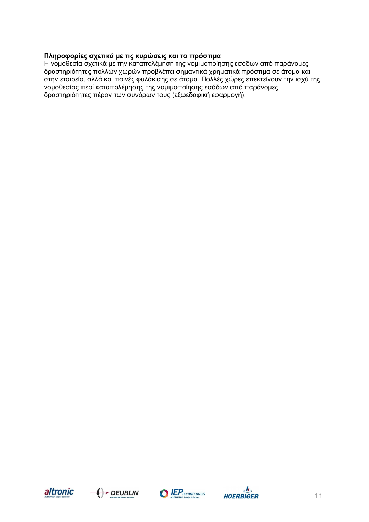#### **Πληροφορίες σχετικά με τις κυρώσεις και τα πρόστιμα**

Η νομοθεσία σχετικά με την καταπολέμηση της νομιμοποίησης εσόδων από παράνομες δραστηριότητες πολλών χωρών προβλέπει σημαντικά χρηματικά πρόστιμα σε άτομα και στην εταιρεία, αλλά και ποινές φυλάκισης σε άτομα. Πολλές χώρες επεκτείνουν την ισχύ της νομοθεσίας περί καταπολέμησης της νομιμοποίησης εσόδων από παράνομες δραστηριότητες πέραν των συνόρων τους (εξωεδαφική εφαρμογή).







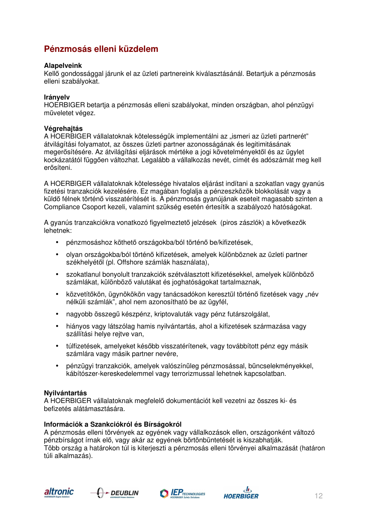# **Pénzmosás elleni küzdelem**

#### **Alapelveink**

Kellő gondossággal járunk el az üzleti partnereink kiválasztásánál. Betartjuk a pénzmosás elleni szabályokat.

#### **Irányelv**

HOERBIGER betartja a pénzmosás elleni szabályokat, minden országban, ahol pénzügyi műveletet végez.

#### **Végrehajtás**

A HOERBIGER vállalatoknak kötelességük implementálni az "ismeri az üzleti partnerét" átvilágítási folyamatot, az összes üzleti partner azonosságának és legitimitásának megerősítésére. Az átvilágítási eljárások mértéke a jogi követelményektől és az ügylet kockázatától függően változhat. Legalább a vállalkozás nevét, címét és adószámát meg kell erősíteni.

A HOERBIGER vállalatoknak kötelessége hivatalos eljárást indítani a szokatlan vagy gyanús fizetési tranzakciók kezelésére. Ez magában foglalja a pénzeszközök blokkolását vagy a küldő félnek történő visszatérítését is. A pénzmosás gyanújának eseteit magasabb szinten a Compliance Csoport kezeli, valamint szükség esetén értesítik a szabályozó hatóságokat.

A gyanús tranzakciókra vonatkozó figyelmeztető jelzések (piros zászlók) a következők lehetnek:

- pénzmosáshoz köthető országokba/ból történő be/kifizetések,
- olyan országokba/ból történő kifizetések, amelyek különböznek az üzleti partner székhelyétől (pl. Offshore számlák használata),
- szokatlanul bonyolult tranzakciók szétválasztott kifizetésekkel, amelyek különböző számlákat, különböző valutákat és joghatóságokat tartalmaznak,
- közvetítőkön, ügynökökön vagy tanácsadókon keresztül történő fizetések vagy "név nélküli számlák", ahol nem azonosítható be az ügyfél,
- nagyobb összegű készpénz, kriptovaluták vagy pénz futárszolgálat,
- hiányos vagy látszólag hamis nyilvántartás, ahol a kifizetések származása vagy szállítási helye rejtve van,
- túlfizetések, amelyeket később visszatérítenek, vagy továbbított pénz egy másik számlára vagy másik partner nevére,
- pénzügyi tranzakciók, amelyek valószínűleg pénzmosással, bűncselekményekkel, kábítószer-kereskedelemmel vagy terrorizmussal lehetnek kapcsolatban.

#### **Nyilvántartás**

A HOERBIGER vállalatoknak megfelelő dokumentációt kell vezetni az összes ki- és befizetés alátámasztására.

#### **Információk a Szankciókról és Bírságokról**

A pénzmosás elleni törvények az egyének vagy vállalkozások ellen, országonként változó pénzbírságot írnak elő, vagy akár az egyének börtönbüntetését is kiszabhatják. Több ország a határokon túl is kiterjeszti a pénzmosás elleni törvényei alkalmazását (határon túli alkalmazás).







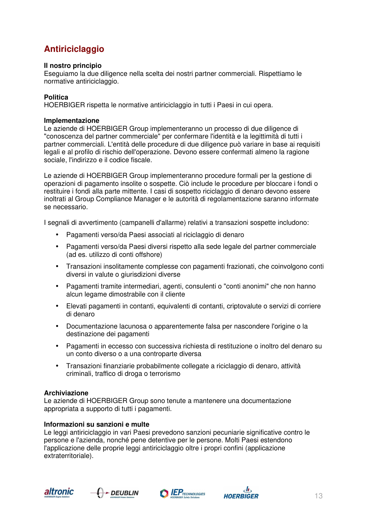# **Antiriciclaggio**

#### **Il nostro principio**

Eseguiamo la due diligence nella scelta dei nostri partner commerciali. Rispettiamo le normative antiriciclaggio.

#### **Politica**

HOERBIGER rispetta le normative antiriciclaggio in tutti i Paesi in cui opera.

#### **Implementazione**

Le aziende di HOERBIGER Group implementeranno un processo di due diligence di "conoscenza del partner commerciale" per confermare l'identità e la legittimità di tutti i partner commerciali. L'entità delle procedure di due diligence può variare in base ai requisiti legali e al profilo di rischio dell'operazione. Devono essere confermati almeno la ragione sociale, l'indirizzo e il codice fiscale.

Le aziende di HOERBIGER Group implementeranno procedure formali per la gestione di operazioni di pagamento insolite o sospette. Ciò include le procedure per bloccare i fondi o restituire i fondi alla parte mittente. I casi di sospetto riciclaggio di denaro devono essere inoltrati al Group Compliance Manager e le autorità di regolamentazione saranno informate se necessario.

I segnali di avvertimento (campanelli d'allarme) relativi a transazioni sospette includono:

- Pagamenti verso/da Paesi associati al riciclaggio di denaro
- Pagamenti verso/da Paesi diversi rispetto alla sede legale del partner commerciale (ad es. utilizzo di conti offshore)
- Transazioni insolitamente complesse con pagamenti frazionati, che coinvolgono conti diversi in valute o giurisdizioni diverse
- Pagamenti tramite intermediari, agenti, consulenti o "conti anonimi" che non hanno alcun legame dimostrabile con il cliente
- Elevati pagamenti in contanti, equivalenti di contanti, criptovalute o servizi di corriere di denaro
- Documentazione lacunosa o apparentemente falsa per nascondere l'origine o la destinazione dei pagamenti
- Pagamenti in eccesso con successiva richiesta di restituzione o inoltro del denaro su un conto diverso o a una controparte diversa
- Transazioni finanziarie probabilmente collegate a riciclaggio di denaro, attività criminali, traffico di droga o terrorismo

#### **Archiviazione**

Le aziende di HOERBIGER Group sono tenute a mantenere una documentazione appropriata a supporto di tutti i pagamenti.

#### **Informazioni su sanzioni e multe**

Le leggi antiriciclaggio in vari Paesi prevedono sanzioni pecuniarie significative contro le persone e l'azienda, nonché pene detentive per le persone. Molti Paesi estendono l'applicazione delle proprie leggi antiriciclaggio oltre i propri confini (applicazione extraterritoriale).







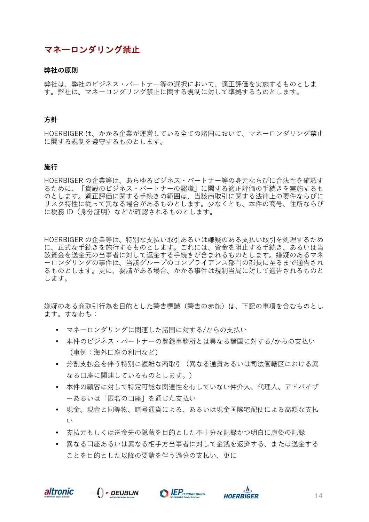### マネーロンダリング禁止

#### **弊社の原則**

弊社は、弊社のビジネス・パートナー等の選択において、適正評価を実施するものとしま す。弊社は、マネーロンダリング禁止に関する規制に対して準拠するものとします。

#### **方針**

HOERBIGER は、かかる企業が運営している全ての諸国において、マネーロンダリング禁止 に関する規制を遵守するものとします。

#### **施行**

HOERBIGER の企業等は、あらゆるビジネス・パートナー等の身元ならびに合法性を確認す るために、「貴殿のビジネス・パートナーの認識」に関する適正評価の手続きを実施するも のとします。適正評価に関する手続きの範囲は、当該商取引に関する法律上の要件ならびに リスク特性に従って異なる場合があるものとします。少なくとも、本件の商号、住所ならび に税務 ID(身分証明)などが確認されるものとします。

HOERBIGER の企業等は、特別な支払い取引あるいは嫌疑のある支払い取引を処理するため に、正式な手続きを施行するものとします。これには、資金を阻止する手続き、あるいは当 該資金を送金元の当事者に対して返金する手続きが含まれるものとします。嫌疑のあるマネ ーロンダリングの事件は、当該グループのコンプライアンス部門の部⻑に⾄るまで通告され るものとします。更に、要請がある場合、かかる事件は規制当局に対して通告されるものと します。

嫌疑のある商取引行為を目的とした警告標識(警告の赤旗)は、下記の事項を含むものとし ます。すなわち:

- マネーロンダリングに関連した諸国に対する/からの支払い
- 本件のビジネス・パートナーの登録事務所とは異なる諸国に対する/からの支払い (事例:海外口座の利用など)
- 分割支払金を伴う特別に複雑な商取引(異なる通貨あるいは司法管轄区における異 なる口座に関連しているものとします。)
- 本件の顧客に対して特定可能な関連性を有していない仲介人、代理人、アドバイザ ーあるいは「匿名の口座」を通じた支払い
- 現金、現金と同等物、暗号通貨による、あるいは現金国際宅配便による高額な支払 い
- 支払元もしくは送金先の隠蔽を目的とした不十分な記録かつ明白に虚偽の記録
- 異なる口座あるいは異なる相手方当事者に対して金銭を返済する、または送金する ことを目的とした以降の要請を伴う過分の支払い、更に







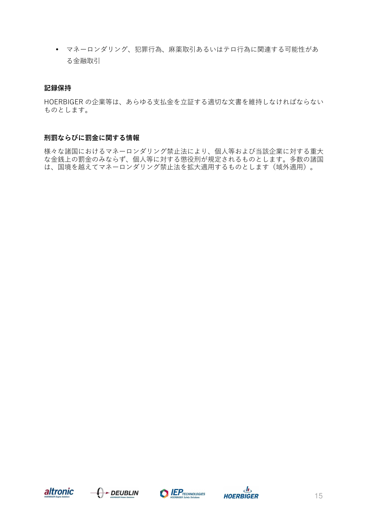• マネーロンダリング、犯罪行為、麻薬取引あるいはテロ行為に関連する可能性があ る金融取引

#### **記録保持**

HOERBIGER の企業等は、あらゆる支払金を立証する適切な文書を維持しなければならない ものとします。

#### **刑罰ならびに罰金に関する情報**

様々な諸国におけるマネーロンダリング禁止法により、個人等および当該企業に対する重大 な金銭上の罰金のみならず、個人等に対する懲役刑が規定されるものとします。多数の諸国 は、国境を越えてマネーロンダリング禁止法を拡大適用するものとします(域外適用)。







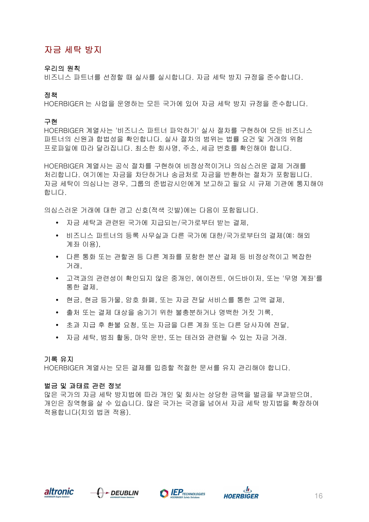### 자금 세탁 방지

#### 우리의 원칙

비즈니스 파트너를 선정할 때 실사를 실시합니다. 자금 세탁 방지 규정을 준수합니다.

정책

HOERBIGER 는 사업을 운영하는 모든 국가에 있어 자금 세탁 방지 규정을 준수합니다.

#### 구현

HOERBIGER 계열사는 '비즈니스 파트너 파악하기' 실사 절차를 구현하여 모든 비즈니스 파트너의 신원과 합법성을 확인합니다. 실사 절차의 범위는 법률 요건 및 거래의 위험 프로파일에 따라 달라집니다. 최소한 회사명, 주소, 세금 번호를 확인해야 합니다.

HOERBIGER 계열사는 공식 절차를 구현하여 비정상적이거나 의심스러운 결제 거래를 처리합니다. 여기에는 자금을 차단하거나 송금처로 자금을 반환하는 절차가 포함됩니다. 자금 세탁이 의심나는 경우, 그룹의 준법감시인에게 보고하고 필요 시 규제 기관에 통지해야 합니다.

의심스러운 거래에 대한 경고 신호(적색 깃발)에는 다음이 포함됩니다.

- 자금 세탁과 관련된 국가에 지급되는/국가로부터 받는 결제,
- 비즈니스 파트너의 등록 사무실과 다른 국가에 대한/국가로부터의 결제(예: 해외 계좌 이용),
- 다른 통화 또는 관할권 등 다른 계좌를 포함한 분산 결제 등 비정상적이고 복잡한 거래,
- 고객과의 관련성이 확인되지 않은 중개인, 에이전트, 어드바이저, 또는 '무명 계좌'를 통한 결제,
- 현금, 현금 등가물, 암호 화폐, 또는 자금 전달 서비스를 통한 고액 결제,
- 출처 또는 결제 대상을 숨기기 위한 불충분하거나 명백한 거짓 기록,
- 초과 지급 후 환불 요청, 또는 자금을 다른 계좌 또는 다른 당사자에 전달,
- 자금 세탁, 범죄 활동, 마약 운반, 또는 테러와 관련될 수 있는 자금 거래.

#### 기록 유지

HOERBIGER 계열사는 모든 결제를 입증할 적절한 문서를 유지 관리해야 합니다.

#### 벌금 및 과태료 관련 정보

많은 국가의 자금 세탁 방지법에 따라 개인 및 회사는 상당한 금액을 벌금을 부과받으며, 개인은 징역형을 살 수 있습니다. 많은 국가는 국경을 넘어서 자금 세탁 방지법을 확장하여 적용합니다(치외 법권 적용).







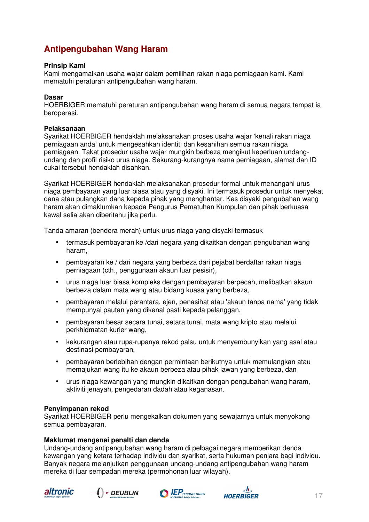# **Antipengubahan Wang Haram**

#### **Prinsip Kami**

Kami mengamalkan usaha wajar dalam pemilihan rakan niaga perniagaan kami. Kami mematuhi peraturan antipengubahan wang haram.

#### **Dasar**

HOERBIGER mematuhi peraturan antipengubahan wang haram di semua negara tempat ia beroperasi.

#### **Pelaksanaan**

Syarikat HOERBIGER hendaklah melaksanakan proses usaha wajar 'kenali rakan niaga perniagaan anda' untuk mengesahkan identiti dan kesahihan semua rakan niaga perniagaan. Takat prosedur usaha wajar mungkin berbeza mengikut keperluan undangundang dan profil risiko urus niaga. Sekurang-kurangnya nama perniagaan, alamat dan ID cukai tersebut hendaklah disahkan.

Syarikat HOERBIGER hendaklah melaksanakan prosedur formal untuk menangani urus niaga pembayaran yang luar biasa atau yang disyaki. Ini termasuk prosedur untuk menyekat dana atau pulangkan dana kepada pihak yang menghantar. Kes disyaki pengubahan wang haram akan dimaklumkan kepada Pengurus Pematuhan Kumpulan dan pihak berkuasa kawal selia akan diberitahu jika perlu.

Tanda amaran (bendera merah) untuk urus niaga yang disyaki termasuk

- termasuk pembayaran ke /dari negara yang dikaitkan dengan pengubahan wang haram,
- pembayaran ke / dari negara yang berbeza dari pejabat berdaftar rakan niaga perniagaan (cth., penggunaan akaun luar pesisir),
- urus niaga luar biasa kompleks dengan pembayaran berpecah, melibatkan akaun berbeza dalam mata wang atau bidang kuasa yang berbeza,
- pembayaran melalui perantara, ejen, penasihat atau 'akaun tanpa nama' yang tidak mempunyai pautan yang dikenal pasti kepada pelanggan,
- pembayaran besar secara tunai, setara tunai, mata wang kripto atau melalui perkhidmatan kurier wang,
- kekurangan atau rupa-rupanya rekod palsu untuk menyembunyikan yang asal atau destinasi pembayaran,
- pembayaran berlebihan dengan permintaan berikutnya untuk memulangkan atau memajukan wang itu ke akaun berbeza atau pihak lawan yang berbeza, dan
- urus niaga kewangan yang mungkin dikaitkan dengan pengubahan wang haram, aktiviti jenayah, pengedaran dadah atau keganasan.

#### **Penyimpanan rekod**

Syarikat HOERBIGER perlu mengekalkan dokumen yang sewajarnya untuk menyokong semua pembayaran.

#### **Maklumat mengenai penalti dan denda**

Undang-undang antipengubahan wang haram di pelbagai negara memberikan denda kewangan yang ketara terhadap individu dan syarikat, serta hukuman penjara bagi individu. Banyak negara melanjutkan penggunaan undang-undang antipengubahan wang haram mereka di luar sempadan mereka (permohonan luar wilayah).







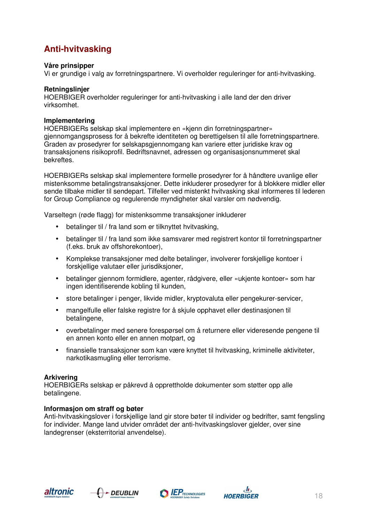# **Anti-hvitvasking**

#### **Våre prinsipper**

Vi er grundige i valg av forretningspartnere. Vi overholder reguleringer for anti-hvitvasking.

#### **Retningslinjer**

HOERBIGER overholder reguleringer for anti-hvitvasking i alle land der den driver virksomhet.

#### **Implementering**

HOERBIGERs selskap skal implementere en «kjenn din forretningspartner» gjennomgangsprosess for å bekrefte identiteten og berettigelsen til alle forretningspartnere. Graden av prosedyrer for selskapsgjennomgang kan variere etter juridiske krav og transaksjonens risikoprofil. Bedriftsnavnet, adressen og organisasjonsnummeret skal bekreftes.

HOERBIGERs selskap skal implementere formelle prosedyrer for å håndtere uvanlige eller mistenksomme betalingstransaksjoner. Dette inkluderer prosedyrer for å blokkere midler eller sende tilbake midler til sendepart. Tilfeller ved mistenkt hvitvasking skal informeres til lederen for Group Compliance og regulerende myndigheter skal varsler om nødvendig.

Varseltegn (røde flagg) for mistenksomme transaksjoner inkluderer

- betalinger til / fra land som er tilknyttet hvitvasking,
- betalinger til / fra land som ikke samsvarer med registrert kontor til forretningspartner (f.eks. bruk av offshorekontoer),
- Komplekse transaksjoner med delte betalinger, involverer forskjellige kontoer i forskjellige valutaer eller jurisdiksjoner,
- betalinger gjennom formidlere, agenter, rådgivere, eller «ukjente kontoer» som har ingen identifiserende kobling til kunden,
- store betalinger i penger, likvide midler, kryptovaluta eller pengekurer-servicer,
- mangelfulle eller falske registre for å skjule opphavet eller destinasjonen til betalingene,
- overbetalinger med senere forespørsel om å returnere eller videresende pengene til en annen konto eller en annen motpart, og
- finansielle transaksjoner som kan være knyttet til hvitvasking, kriminelle aktiviteter, narkotikasmugling eller terrorisme.

#### **Arkivering**

HOERBIGERs selskap er påkrevd å opprettholde dokumenter som støtter opp alle betalingene.

#### **Informasjon om straff og bøter**

Anti-hvitvaskingslover i forskjellige land gir store bøter til individer og bedrifter, samt fengsling for individer. Mange land utvider området der anti-hvitvaskingslover gjelder, over sine landegrenser (eksterritorial anvendelse).







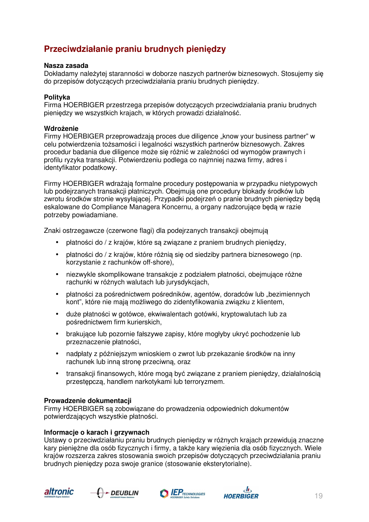# **Przeciwdziałanie praniu brudnych pieniędzy**

#### **Nasza zasada**

Dokładamy należytej staranności w doborze naszych partnerów biznesowych. Stosujemy się do przepisów dotyczących przeciwdziałania praniu brudnych pieniędzy.

#### **Polityka**

Firma HOERBIGER przestrzega przepisów dotyczących przeciwdziałania praniu brudnych pieniędzy we wszystkich krajach, w których prowadzi działalność.

#### **Wdrożenie**

Firmy HOERBIGER przeprowadzają proces due diligence "know your business partner" w celu potwierdzenia tożsamości i legalności wszystkich partnerów biznesowych. Zakres procedur badania due diligence może się różnić w zależności od wymogów prawnych i profilu ryzyka transakcji. Potwierdzeniu podlega co najmniej nazwa firmy, adres i identyfikator podatkowy.

Firmy HOERBIGER wdrażają formalne procedury postępowania w przypadku nietypowych lub podejrzanych transakcji płatniczych. Obejmują one procedury blokady środków lub zwrotu środków stronie wysyłającej. Przypadki podejrzeń o pranie brudnych pieniędzy będą eskalowane do Compliance Managera Koncernu, a organy nadzorujące będą w razie potrzeby powiadamiane.

Znaki ostrzegawcze (czerwone flagi) dla podejrzanych transakcji obejmują

- płatności do / z krajów, które są związane z praniem brudnych pieniędzy,
- płatności do / z krajów, które różnią się od siedziby partnera biznesowego (np. korzystanie z rachunków off-shore),
- niezwykle skomplikowane transakcje z podziałem płatności, obejmujące różne rachunki w różnych walutach lub jurysdykcjach,
- płatności za pośrednictwem pośredników, agentów, doradców lub "bezimiennych kont", które nie mają możliwego do zidentyfikowania związku z klientem,
- duże płatności w gotówce, ekwiwalentach gotówki, kryptowalutach lub za pośrednictwem firm kurierskich,
- brakujące lub pozornie fałszywe zapisy, które mogłyby ukryć pochodzenie lub przeznaczenie płatności,
- nadpłaty z późniejszym wnioskiem o zwrot lub przekazanie środków na inny rachunek lub inną stronę przeciwną, oraz
- transakcji finansowych, które mogą być związane z praniem pieniedzy, działalnością przestępczą, handlem narkotykami lub terroryzmem.

#### **Prowadzenie dokumentacji**

Firmy HOERBIGER są zobowiązane do prowadzenia odpowiednich dokumentów potwierdzających wszystkie płatności.

#### **Informacje o karach i grzywnach**

Ustawy o przeciwdziałaniu praniu brudnych pieniędzy w różnych krajach przewidują znaczne kary pieniężne dla osób fizycznych i firmy, a także kary więzienia dla osób fizycznych. Wiele krajów rozszerza zakres stosowania swoich przepisów dotyczących przeciwdziałania praniu brudnych pieniędzy poza swoje granice (stosowanie eksterytorialne).







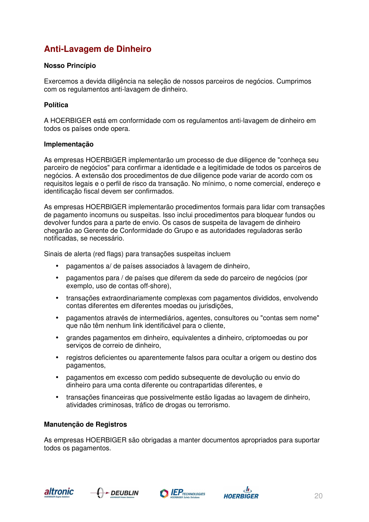# **Anti-Lavagem de Dinheiro**

#### **Nosso Princípio**

Exercemos a devida diligência na seleção de nossos parceiros de negócios. Cumprimos com os regulamentos anti-lavagem de dinheiro.

#### **Política**

A HOERBIGER está em conformidade com os regulamentos anti-lavagem de dinheiro em todos os países onde opera.

#### **Implementação**

As empresas HOERBIGER implementarão um processo de due diligence de "conheça seu parceiro de negócios" para confirmar a identidade e a legitimidade de todos os parceiros de negócios. A extensão dos procedimentos de due diligence pode variar de acordo com os requisitos legais e o perfil de risco da transação. No mínimo, o nome comercial, endereço e identificação fiscal devem ser confirmados.

As empresas HOERBIGER implementarão procedimentos formais para lidar com transações de pagamento incomuns ou suspeitas. Isso inclui procedimentos para bloquear fundos ou devolver fundos para a parte de envio. Os casos de suspeita de lavagem de dinheiro chegarão ao Gerente de Conformidade do Grupo e as autoridades reguladoras serão notificadas, se necessário.

Sinais de alerta (red flags) para transações suspeitas incluem

- pagamentos a/ de países associados à lavagem de dinheiro,
- pagamentos para / de países que diferem da sede do parceiro de negócios (por exemplo, uso de contas off-shore),
- transações extraordinariamente complexas com pagamentos divididos, envolvendo contas diferentes em diferentes moedas ou jurisdições,
- pagamentos através de intermediários, agentes, consultores ou "contas sem nome" que não têm nenhum link identificável para o cliente,
- grandes pagamentos em dinheiro, equivalentes a dinheiro, criptomoedas ou por serviços de correio de dinheiro,
- registros deficientes ou aparentemente falsos para ocultar a origem ou destino dos pagamentos,
- pagamentos em excesso com pedido subsequente de devolução ou envio do dinheiro para uma conta diferente ou contrapartidas diferentes, e
- transações financeiras que possivelmente estão ligadas ao lavagem de dinheiro, atividades criminosas, tráfico de drogas ou terrorismo.

#### **Manutenção de Registros**

As empresas HOERBIGER são obrigadas a manter documentos apropriados para suportar todos os pagamentos.







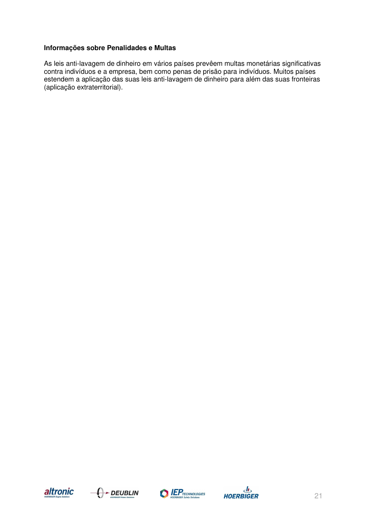#### **Informações sobre Penalidades e Multas**

As leis anti-lavagem de dinheiro em vários países prevêem multas monetárias significativas contra indivíduos e a empresa, bem como penas de prisão para indivíduos. Muitos países estendem a aplicação das suas leis anti-lavagem de dinheiro para além das suas fronteiras (aplicação extraterritorial).







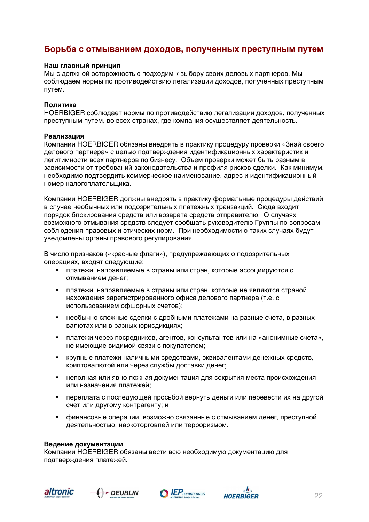### **Борьба с отмыванием доходов, полученных преступным путем**

#### **Наш главный принцип**

Мы с должной осторожностью подходим к выбору своих деловых партнеров. Мы соблюдаем нормы по противодействию легализации доходов, полученных преступным путем.

#### **Политика**

HOERBIGER соблюдает нормы по противодействию легализации доходов, полученных преступным путем, во всех странах, где компания осуществляет деятельность.

#### **Реализация**

Компании HOERBIGER обязаны внедрять в практику процедуру проверки «Знай своего делового партнера» с целью подтверждения идентификационных характеристик и легитимности всех партнеров по бизнесу. Объем проверки может быть разным в зависимости от требований законодательства и профиля рисков сделки. Как минимум, необходимо подтвердить коммерческое наименование, адрес и идентификационный номер налогоплательщика.

Компании HOERBIGER должны внедрять в практику формальные процедуры действий в случае необычных или подозрительных платежных транзакций. Сюда входит порядок блокирования средств или возврата средств отправителю. О случаях возможного отмывания средств следует сообщать руководителю Группы по вопросам соблюдения правовых и этических норм. При необходимости о таких случаях будут уведомлены органы правового регулирования.

В число признаков («красные флаги»), предупреждающих о подозрительных операциях, входят следующие:

- платежи, направляемые в страны или стран, которые ассоциируются с отмыванием денег;
- платежи, направляемые в страны или стран, которые не являются страной нахождения зарегистрированного офиса делового партнера (т.е. с использованием офшорных счетов);
- необычно сложные сделки с дробными платежами на разные счета, в разных валютах или в разных юрисдикциях;
- платежи через посредников, агентов, консультантов или на «анонимные счета». не имеющие видимой связи с покупателем;
- крупные платежи наличными средствами, эквивалентами денежных средств, криптовалютой или через службы доставки денег;
- неполная или явно ложная документация для сокрытия места происхождения или назначения платежей;
- переплата с последующей просьбой вернуть деньги или перевести их на другой счет или другому контрагенту; и
- финансовые операции, возможно связанные с отмыванием денег, преступной деятельностью, наркоторговлей или терроризмом.

#### **Ведение документации**

Компании HOERBIGER обязаны вести всю необходимую документацию для подтверждения платежей.







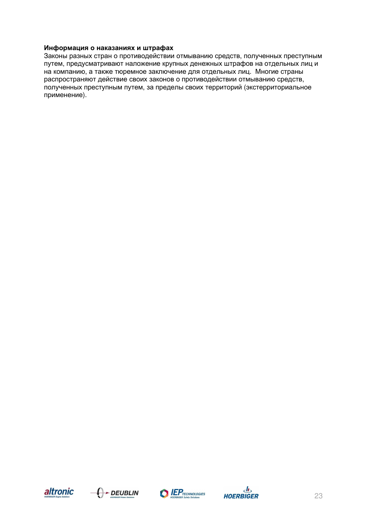#### **Информация о наказаниях и штрафах**

Законы разных стран о противодействии отмыванию средств, полученных преступным путем, предусматривают наложение крупных денежных штрафов на отдельных лиц и на компанию, а также тюремное заключение для отдельных лиц. Многие страны распространяют действие своих законов о противодействии отмыванию средств, полученных преступным путем, за пределы своих территорий (экстерриториальное применение).







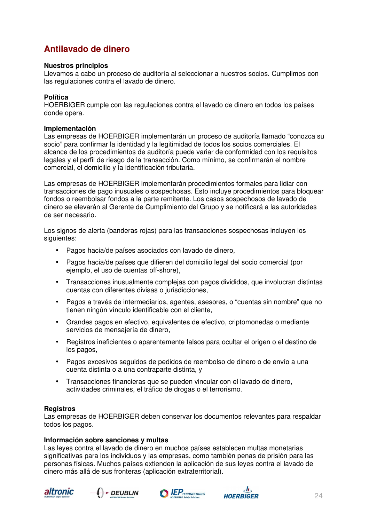# **Antilavado de dinero**

#### **Nuestros principios**

Llevamos a cabo un proceso de auditoría al seleccionar a nuestros socios. Cumplimos con las regulaciones contra el lavado de dinero.

#### **Política**

HOERBIGER cumple con las regulaciones contra el lavado de dinero en todos los países donde opera.

#### **Implementación**

Las empresas de HOERBIGER implementarán un proceso de auditoría llamado "conozca su socio" para confirmar la identidad y la legitimidad de todos los socios comerciales. El alcance de los procedimientos de auditoría puede variar de conformidad con los requisitos legales y el perfil de riesgo de la transacción. Como mínimo, se confirmarán el nombre comercial, el domicilio y la identificación tributaria.

Las empresas de HOERBIGER implementarán procedimientos formales para lidiar con transacciones de pago inusuales o sospechosas. Esto incluye procedimientos para bloquear fondos o reembolsar fondos a la parte remitente. Los casos sospechosos de lavado de dinero se elevarán al Gerente de Cumplimiento del Grupo y se notificará a las autoridades de ser necesario.

Los signos de alerta (banderas rojas) para las transacciones sospechosas incluyen los siguientes:

- Pagos hacia/de países asociados con lavado de dinero,
- Pagos hacia/de países que difieren del domicilio legal del socio comercial (por ejemplo, el uso de cuentas off-shore).
- Transacciones inusualmente complejas con pagos divididos, que involucran distintas cuentas con diferentes divisas o jurisdicciones,
- Pagos a través de intermediarios, agentes, asesores, o "cuentas sin nombre" que no tienen ningún vínculo identificable con el cliente,
- Grandes pagos en efectivo, equivalentes de efectivo, criptomonedas o mediante servicios de mensajería de dinero,
- Registros ineficientes o aparentemente falsos para ocultar el origen o el destino de los pagos,
- Pagos excesivos seguidos de pedidos de reembolso de dinero o de envío a una cuenta distinta o a una contraparte distinta, y
- Transacciones financieras que se pueden vincular con el lavado de dinero, actividades criminales, el tráfico de drogas o el terrorismo.

#### **Registros**

Las empresas de HOERBIGER deben conservar los documentos relevantes para respaldar todos los pagos.

#### **Información sobre sanciones y multas**

Las leyes contra el lavado de dinero en muchos países establecen multas monetarias significativas para los individuos y las empresas, como también penas de prisión para las personas físicas. Muchos países extienden la aplicación de sus leyes contra el lavado de dinero más allá de sus fronteras (aplicación extraterritorial).







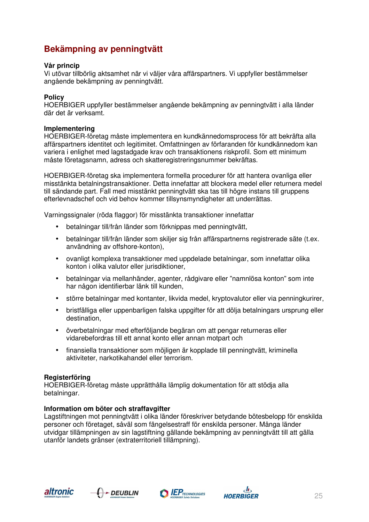# **Bekämpning av penningtvätt**

#### **Vår princip**

Vi utövar tillbörlig aktsamhet när vi väljer våra affärspartners. Vi uppfyller bestämmelser angående bekämpning av penningtvätt.

#### **Policy**

HOERBIGER uppfyller bestämmelser angående bekämpning av penningtvätt i alla länder där det är verksamt.

#### **Implementering**

HOERBIGER-företag måste implementera en kundkännedomsprocess för att bekräfta alla affärspartners identitet och legitimitet. Omfattningen av förfaranden för kundkännedom kan variera i enlighet med lagstadgade krav och transaktionens riskprofil. Som ett minimum måste företagsnamn, adress och skatteregistreringsnummer bekräftas.

HOERBIGER-företag ska implementera formella procedurer för att hantera ovanliga eller misstänkta betalningstransaktioner. Detta innefattar att blockera medel eller returnera medel till sändande part. Fall med misstänkt penningtvätt ska tas till högre instans till gruppens efterlevnadschef och vid behov kommer tillsynsmyndigheter att underrättas.

Varningssignaler (röda flaggor) för misstänkta transaktioner innefattar

- betalningar till/från länder som förknippas med penningtvätt,
- betalningar till/från länder som skiljer sig från affärspartnerns registrerade säte (t.ex. användning av offshore-konton),
- ovanligt komplexa transaktioner med uppdelade betalningar, som innefattar olika konton i olika valutor eller jurisdiktioner,
- betalningar via mellanhänder, agenter, rådgivare eller "namnlösa konton" som inte har någon identifierbar länk till kunden,
- större betalningar med kontanter, likvida medel, kryptovalutor eller via penningkurirer,
- bristfälliga eller uppenbarligen falska uppgifter för att dölja betalningars ursprung eller destination,
- överbetalningar med efterföljande begäran om att pengar returneras eller vidarebefordras till ett annat konto eller annan motpart och
- finansiella transaktioner som möjligen är kopplade till penningtvätt, kriminella aktiviteter, narkotikahandel eller terrorism.

#### **Registerföring**

HOERBIGER-företag måste upprätthålla lämplig dokumentation för att stödja alla betalningar.

#### **Information om böter och straffavgifter**

Lagstiftningen mot penningtvätt i olika länder föreskriver betydande bötesbelopp för enskilda personer och företaget, såväl som fängelsestraff för enskilda personer. Många länder utvidgar tillämpningen av sin lagstiftning gällande bekämpning av penningtvätt till att gälla utanför landets gränser (extraterritoriell tillämpning).







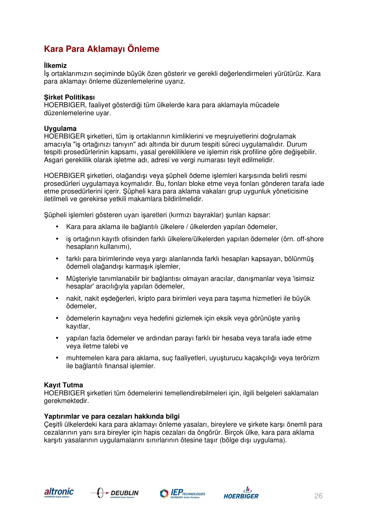# **Kara Para Aklamayı Önleme**

#### **İlkemiz**

İş ortaklarımızın seçiminde büyük özen gösterir ve gerekli değerlendirmeleri yürütürüz. Kara para aklamayı önleme düzenlemelerine uyarız.

#### **Şirket Politikası**

HOERBIGER, faaliyet gösterdiği tüm ülkelerde kara para aklamayla mücadele düzenlemelerine uyar.

#### **Uygulama**

HOERBIGER şirketleri, tüm iş ortaklarının kimliklerini ve meşruiyetlerini doğrulamak amacıyla "iş ortağınızı tanıyın" adı altında bir durum tespiti süreci uygulamalıdır. Durum tespiti prosedürlerinin kapsamı, yasal gerekliliklere ve işlemin risk profiline göre değişebilir. Asgari gereklilik olarak işletme adı, adresi ve vergi numarası teyit edilmelidir.

HOERBIGER şirketleri, olağandışı veya şüpheli ödeme işlemleri karşısında belirli resmi prosedürleri uygulamaya koymalıdır. Bu, fonları bloke etme veya fonları gönderen tarafa iade etme prosedürlerini içerir. Şüpheli kara para aklama vakaları grup uygunluk yöneticisine iletilmeli ve gerekirse yetkili makamlara bildirilmelidir.

Şüpheli işlemleri gösteren uyarı işaretleri (kırmızı bayraklar) şunları kapsar:

- Kara para aklama ile bağlantılı ülkelere / ülkelerden yapılan ödemeler,
- iş ortağının kayıtlı ofisinden farklı ülkelere/ülkelerden yapılan ödemeler (örn. off-shore hesapların kullanımı),
- farklı para birimlerinde veya yargı alanlarında farklı hesapları kapsayan, bölünmüş ödemeli olağandışı karmaşık işlemler,
- Müşteriyle tanımlanabilir bir bağlantısı olmayan aracılar, danışmanlar veya 'isimsiz hesaplar' aracılığıyla yapılan ödemeler,
- nakit, nakit eşdeğerleri, kripto para birimleri veya para taşıma hizmetleri ile büyük ödemeler,
- ödemelerin kaynağını veya hedefini gizlemek için eksik veya görünüşte yanlış kayıtlar,
- yapılan fazla ödemeler ve ardından parayı farklı bir hesaba veya tarafa iade etme veya iletme talebi ve
- muhtemelen kara para aklama, suç faaliyetleri, uyuşturucu kaçakçılığı veya terörizm ile bağlantılı finansal işlemler.

#### **Kayıt Tutma**

HOERBIGER şirketleri tüm ödemelerini temellendirebilmeleri için, ilgili belgeleri saklamaları gerekmektedir.

#### **Yaptırımlar ve para cezaları hakkında bilgi**

Çeşitli ülkelerdeki kara para aklamayı önleme yasaları, bireylere ve şirkete karşı önemli para cezalarının yanı sıra bireyler için hapis cezaları da öngörür. Birçok ülke, kara para aklama karşıtı yasalarının uygulamalarını sınırlarının ötesine taşır (bölge dışı uygulama).







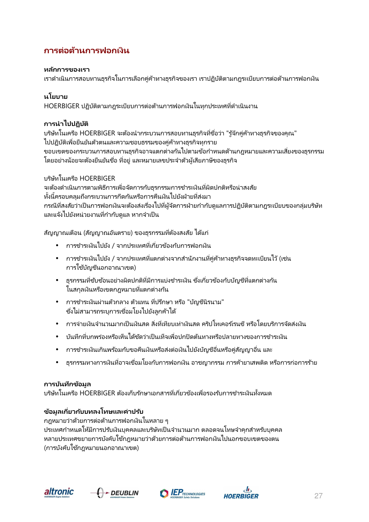# **การต่อต้านการฟอกเงิน**

#### **หลักการของเรา**

เราดําเนินการสอบทานธุรกิจในการเลือกคู่ค้าทางธุรกิจของเรา เราปฏิบัติตามกฎระเบียบการต่อต้านการฟอกเงิน

#### **นโยบาย**

HOERBIGER ปฏิบัติตามกฎระเบียบการต่อต้านการฟอกเงินในทุกประเทศทีดําเนินงาน ,

#### **การนําไปปฏิบัติ**

ู้บริษัทในเครือ HOERBIGER จะต้องนำกระบวนการสอบทานธุรกิจที่ชื่อว่า "รู้จักคู่ค้าทางธุรกิจของคุณ" ี่ไปปฏิบัติเพื่อยืนยันตัวตนและความชอบธรรมของคู่ค้าทางธุรกิจทุกราย ุขอบเขตของกระบวนการสอบทานธุรกิจอาจแตกต่างกันไปตามข้อกำหนดด้านกฎหมายและความเสี่ยงของธุรกรรม โดยอย่างน้อยจะต้องยืนยันชื่อ ที่อย่ และหมายเลขประจำตัวผู้เสียภาษีของธรกิจ

บริษัทในเครือ HOERBIGER จะต้องดำเนินการตามพิธีการเพื่อจัดการกับธรกรรมการชำระเงินที่ผิดปกติหรือน่าสงสัย ทั้งนี้ครอบคลมถึงกระบวนการกีดกันหรือการคืนเงินไปยังฝ่ายที่ส่งมา กรณีที่สงสัยว่าเป็นการฟอกเงินจะต้องส่งเรื่องไปที่ผู้จัดการฝ่ายกำกับดูแลการปฏิบัติตามกฎระเบียบของกลุ่มบริษัท และแจ้งไปยังหน่วยงานที่กำกับดูแล หากจำเป็น

สัญญาณเตือน (สัญญาณอันตราย) ของธุรกรรมทีต้องสงสัย ได้แก่ ,

- การชำระเงินไปยัง / จากประเทศที่เกี่ยวข้องกับการฟอกเงิน
- การชำระเงินไปยัง / จากประเทศที่แตกต่างจากสำนักงานที่คู่ค้าทางธุรกิจจดทะเบียนไว้ (เช่น การใช้บัญชีนอกอาณาเขต)
- ธรกรรมที่ซับซ้อนอย่างผิดปกติที่มีการแบ่งชำระเงิน ซึ่งเกี่ยวข้องกับบัญชีที่แตกต่างกัน ในสกุลเงินหรือเขตกฎหมายทีแตกต่างกัน ,
- การชําระเงินผ่านตัวกลาง ตัวแทน ทีปรึกษา หรือ "บัญชีนิรนาม" , ซึ่งไม่สามารถระบุการเชื่อมโยงไปยังลูกค้าได้
- การจ่ายเงินจำนวนมากเป็นเงินสด สิ่งที่เทียบเท่าเงินสด คริปโทเคอร์เรนซี หรือโดยบริการจัดส่งเงิน
- บันทึกที่บกพร่องหรือเห็นได้ช*ั*ดว่าเป็นเท็จเพื่อปกปิดต้นทางหรือปลายทางของการชำระเงิน
- ่ การชำระเงินเกินพร้อมกับขอคืนเงินหรือส่งต่อเงินไปยังบัญชีอื่นหรือค่สัญญาอื่น และ
- ธุรกรรมทางการเงินที่อาจเชื่อมโยงกับการฟอกเงิน อาชญากรรม การค้ายาเสพติด หรือการก่อการร้าย

#### **การบันทึกข้อมูล**

บริษัทในเครือ HOERBIGER ต้องเก็บรักษาเอกสารที่เกี่ยวข้องเพื่อรองรับการชำระเงินทั้งหมด

#### **ข้อมูลเกียวกับบทลงโทษและค่าปรับ**

กฎหมายว่าด้วยการต่อต้านการฟอกเงินในหลาย ๆ ประเทศกำหนดให้มีการปรับเงินบุคคลและบริษัทเป็นจำนวนมาก ตลอดจนโทษจำคุกสำหรับบุคคล หลายประเทศขยายการบังคับใช้กฎหมายว่าด้วยการต่อต้านการฟอกเงินไปนอกขอบเขตของตน (การบังคับใช้กภหมายนอกอาณาเขต)







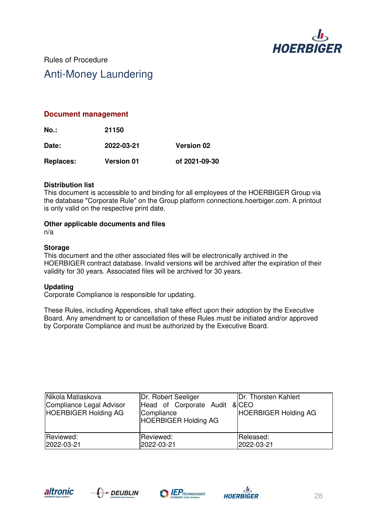

Rules of Procedure

# Anti-Money Laundering

#### **Document management**

**No.: 21150** 

**Date: 2022-03-21 Version 02** 

**Replaces: Version 01 of 2021-09-30** 

#### **Distribution list**

This document is accessible to and binding for all employees of the HOERBIGER Group via the database "Corporate Rule" on the Group platform connections.hoerbiger.com. A printout is only valid on the respective print date.

#### **Other applicable documents and files**

n/a

#### **Storage**

This document and the other associated files will be electronically archived in the HOERBIGER contract database. Invalid versions will be archived after the expiration of their validity for 30 years. Associated files will be archived for 30 years.

#### **Updating**

Corporate Compliance is responsible for updating.

These Rules, including Appendices, shall take effect upon their adoption by the Executive Board. Any amendment to or cancellation of these Rules must be initiated and/or approved by Corporate Compliance and must be authorized by the Executive Board.

| Nikola Matiaskova<br>Compliance Legal Advisor<br><b>HOERBIGER Holding AG</b> | Dr. Robert Seeliger<br>Head of Corporate Audit<br>Compliance<br><b>HOERBIGER Holding AG</b> | Dr. Thorsten Kahlert<br>& CEO<br><b>HOERBIGER Holding AG</b> |
|------------------------------------------------------------------------------|---------------------------------------------------------------------------------------------|--------------------------------------------------------------|
| Reviewed:                                                                    | Reviewed:                                                                                   | Released:                                                    |
| 2022-03-21                                                                   | 2022-03-21                                                                                  | 2022-03-21                                                   |